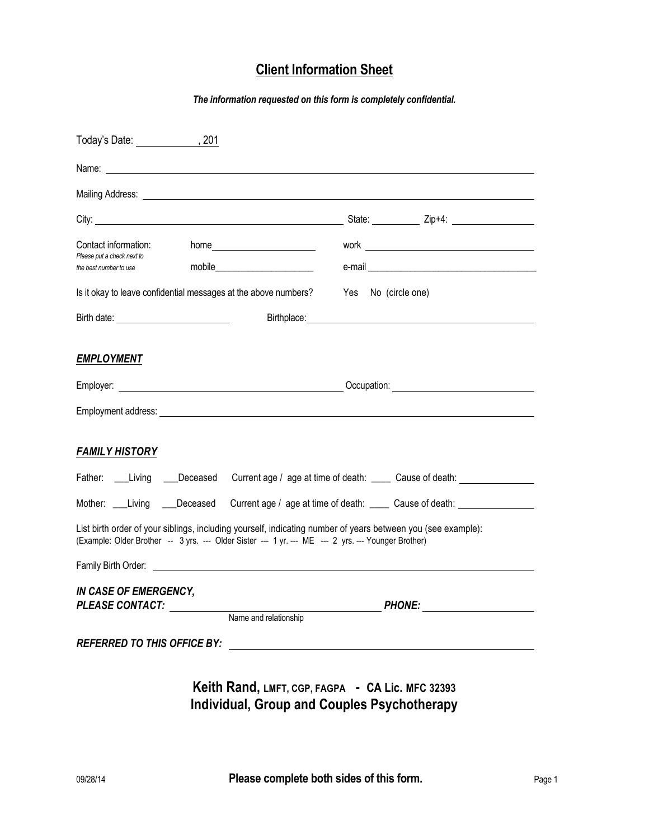# **Client Information Sheet**

*The information requested on this form is completely confidential.*

| Today's Date: 1992, 201                                                                                                                                                                                             |                                                                                           |  |                                                                                                                                                                                                                                                                                                                                                                                                                                                                                                                    |  |  |  |
|---------------------------------------------------------------------------------------------------------------------------------------------------------------------------------------------------------------------|-------------------------------------------------------------------------------------------|--|--------------------------------------------------------------------------------------------------------------------------------------------------------------------------------------------------------------------------------------------------------------------------------------------------------------------------------------------------------------------------------------------------------------------------------------------------------------------------------------------------------------------|--|--|--|
|                                                                                                                                                                                                                     |                                                                                           |  |                                                                                                                                                                                                                                                                                                                                                                                                                                                                                                                    |  |  |  |
|                                                                                                                                                                                                                     |                                                                                           |  |                                                                                                                                                                                                                                                                                                                                                                                                                                                                                                                    |  |  |  |
|                                                                                                                                                                                                                     |                                                                                           |  |                                                                                                                                                                                                                                                                                                                                                                                                                                                                                                                    |  |  |  |
| Contact information:<br>Please put a check next to                                                                                                                                                                  | home___________________________                                                           |  | $\qquad \qquad \text{work} \qquad \qquad \text{---} \qquad \text{---} \qquad \text{---} \qquad \text{---} \qquad \text{---} \qquad \text{---} \qquad \text{---} \qquad \text{---} \qquad \text{---} \qquad \text{---} \qquad \text{---} \qquad \text{---} \qquad \text{---} \qquad \text{---} \qquad \text{---} \qquad \text{---} \qquad \text{---} \qquad \text{---} \qquad \text{---} \qquad \text{---} \qquad \text{---} \qquad \text{---} \qquad \text{---} \qquad \text{---} \qquad \text{---} \qquad \text{$ |  |  |  |
| the best number to use                                                                                                                                                                                              |                                                                                           |  |                                                                                                                                                                                                                                                                                                                                                                                                                                                                                                                    |  |  |  |
| Is it okay to leave confidential messages at the above numbers?                                                                                                                                                     |                                                                                           |  | Yes No (circle one)                                                                                                                                                                                                                                                                                                                                                                                                                                                                                                |  |  |  |
| Birth date: <u>_________________________</u>                                                                                                                                                                        |                                                                                           |  |                                                                                                                                                                                                                                                                                                                                                                                                                                                                                                                    |  |  |  |
| <b>EMPLOYMENT</b>                                                                                                                                                                                                   |                                                                                           |  |                                                                                                                                                                                                                                                                                                                                                                                                                                                                                                                    |  |  |  |
|                                                                                                                                                                                                                     | Employer: <u>contract the contract of the contract of the contract of the contract of</u> |  |                                                                                                                                                                                                                                                                                                                                                                                                                                                                                                                    |  |  |  |
|                                                                                                                                                                                                                     |                                                                                           |  |                                                                                                                                                                                                                                                                                                                                                                                                                                                                                                                    |  |  |  |
| <b>FAMILY HISTORY</b>                                                                                                                                                                                               |                                                                                           |  |                                                                                                                                                                                                                                                                                                                                                                                                                                                                                                                    |  |  |  |
|                                                                                                                                                                                                                     |                                                                                           |  | Father: ___Living ___Deceased Current age / age at time of death: _____ Cause of death: _____                                                                                                                                                                                                                                                                                                                                                                                                                      |  |  |  |
| Mother: ___Living ___Deceased                                                                                                                                                                                       |                                                                                           |  | Current age / age at time of death: _____ Cause of death: ______________________                                                                                                                                                                                                                                                                                                                                                                                                                                   |  |  |  |
| List birth order of your siblings, including yourself, indicating number of years between you (see example):<br>(Example: Older Brother -- 3 yrs. --- Older Sister --- 1 yr. --- ME --- 2 yrs. --- Younger Brother) |                                                                                           |  |                                                                                                                                                                                                                                                                                                                                                                                                                                                                                                                    |  |  |  |
| Family Birth Order:                                                                                                                                                                                                 |                                                                                           |  |                                                                                                                                                                                                                                                                                                                                                                                                                                                                                                                    |  |  |  |
| IN CASE OF EMERGENCY,<br><b>PLEASE CONTACT:</b>                                                                                                                                                                     |                                                                                           |  | <b>PHONE:</b>                                                                                                                                                                                                                                                                                                                                                                                                                                                                                                      |  |  |  |
|                                                                                                                                                                                                                     | Name and relationship                                                                     |  |                                                                                                                                                                                                                                                                                                                                                                                                                                                                                                                    |  |  |  |
| <b>REFERRED TO THIS OFFICE BY:</b>                                                                                                                                                                                  |                                                                                           |  |                                                                                                                                                                                                                                                                                                                                                                                                                                                                                                                    |  |  |  |
|                                                                                                                                                                                                                     |                                                                                           |  |                                                                                                                                                                                                                                                                                                                                                                                                                                                                                                                    |  |  |  |

## **Keith Rand, LMFT, CGP, FAGPA - CA Lic. MFC 32393 Individual, Group and Couples Psychotherapy**